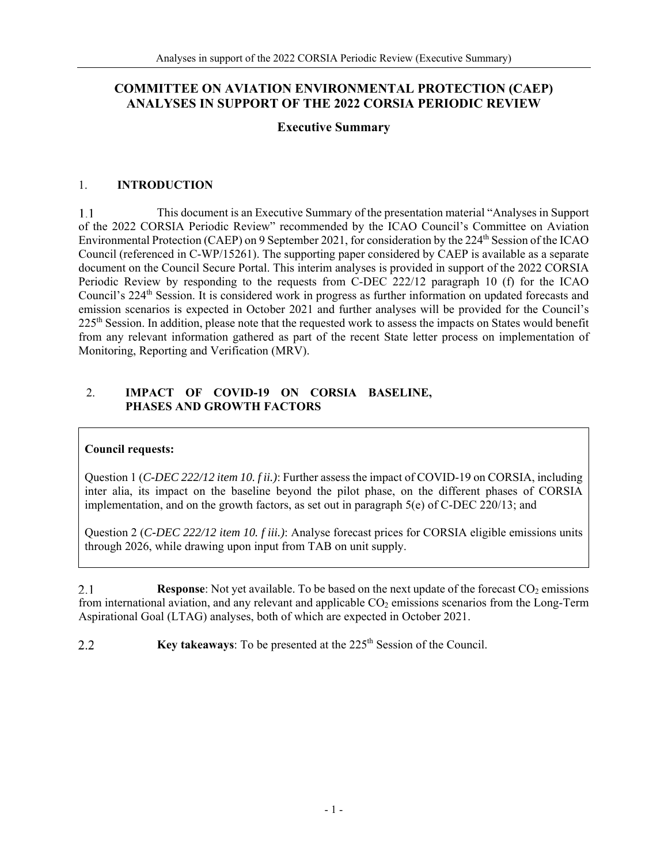# **COMMITTEE ON AVIATION ENVIRONMENTAL PROTECTION (CAEP) ANALYSES IN SUPPORT OF THE 2022 CORSIA PERIODIC REVIEW**

## **Executive Summary**

#### 1. **INTRODUCTION**

 $1.1$ This document is an Executive Summary of the presentation material "Analyses in Support of the 2022 CORSIA Periodic Review" recommended by the ICAO Council's Committee on Aviation Environmental Protection (CAEP) on 9 September 2021, for consideration by the 224<sup>th</sup> Session of the ICAO Council (referenced in C-WP/15261). The supporting paper considered by CAEP is available as a separate document on the Council Secure Portal. This interim analyses is provided in support of the 2022 CORSIA Periodic Review by responding to the requests from C-DEC 222/12 paragraph 10 (f) for the ICAO Council's 224<sup>th</sup> Session. It is considered work in progress as further information on updated forecasts and emission scenarios is expected in October 2021 and further analyses will be provided for the Council's 225<sup>th</sup> Session. In addition, please note that the requested work to assess the impacts on States would benefit from any relevant information gathered as part of the recent State letter process on implementation of Monitoring, Reporting and Verification (MRV).

#### 2. **IMPACT OF COVID-19 ON CORSIA BASELINE, PHASES AND GROWTH FACTORS**

## **Council requests:**

Question 1 (*C-DEC 222/12 item 10. f ii.)*: Further assess the impact of COVID-19 on CORSIA, including inter alia, its impact on the baseline beyond the pilot phase, on the different phases of CORSIA implementation, and on the growth factors, as set out in paragraph 5(e) of C-DEC 220/13; and

Question 2 (*C-DEC 222/12 item 10. f iii.)*: Analyse forecast prices for CORSIA eligible emissions units through 2026, while drawing upon input from TAB on unit supply.

 $2.1$ **Response:** Not yet available. To be based on the next update of the forecast CO<sub>2</sub> emissions from international aviation, and any relevant and applicable  $CO<sub>2</sub>$  emissions scenarios from the Long-Term Aspirational Goal (LTAG) analyses, both of which are expected in October 2021.

**Key takeaways:** To be presented at the 225<sup>th</sup> Session of the Council. 2.2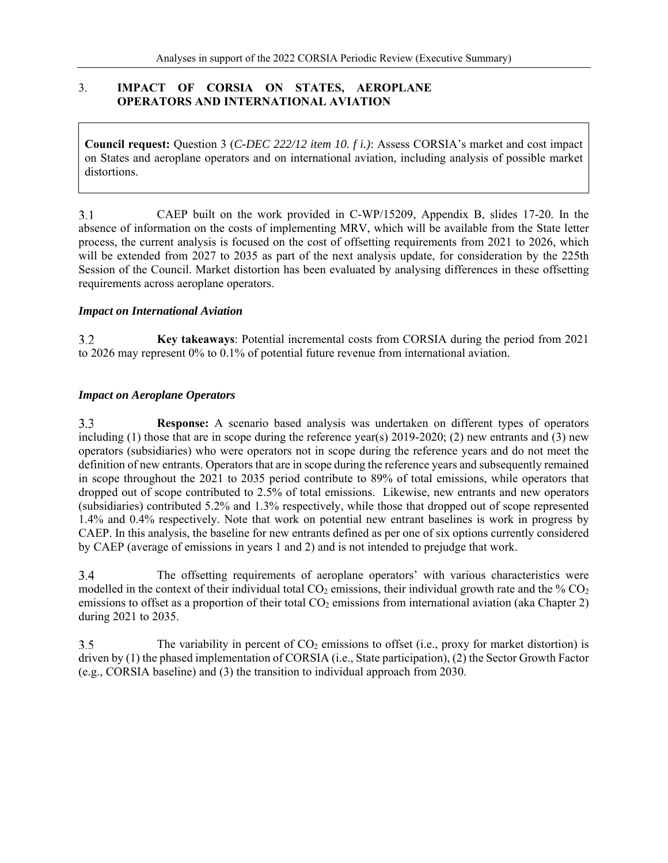## 3. **IMPACT OF CORSIA ON STATES, AEROPLANE OPERATORS AND INTERNATIONAL AVIATION**

**Council request:** Question 3 (*C-DEC 222/12 item 10. f i.)*: Assess CORSIA's market and cost impact on States and aeroplane operators and on international aviation, including analysis of possible market distortions.

 $3.1$ CAEP built on the work provided in C-WP/15209, Appendix B, slides 17-20. In the absence of information on the costs of implementing MRV, which will be available from the State letter process, the current analysis is focused on the cost of offsetting requirements from 2021 to 2026, which will be extended from 2027 to 2035 as part of the next analysis update, for consideration by the 225th Session of the Council. Market distortion has been evaluated by analysing differences in these offsetting requirements across aeroplane operators.

## *Impact on International Aviation*

 $3.2$ **Key takeaways**: Potential incremental costs from CORSIA during the period from 2021 to 2026 may represent 0% to 0.1% of potential future revenue from international aviation.

#### *Impact on Aeroplane Operators*

 $3.3$ **Response:** A scenario based analysis was undertaken on different types of operators including (1) those that are in scope during the reference year(s) 2019-2020; (2) new entrants and (3) new operators (subsidiaries) who were operators not in scope during the reference years and do not meet the definition of new entrants. Operators that are in scope during the reference years and subsequently remained in scope throughout the 2021 to 2035 period contribute to 89% of total emissions, while operators that dropped out of scope contributed to 2.5% of total emissions. Likewise, new entrants and new operators (subsidiaries) contributed 5.2% and 1.3% respectively, while those that dropped out of scope represented 1.4% and 0.4% respectively. Note that work on potential new entrant baselines is work in progress by CAEP. In this analysis, the baseline for new entrants defined as per one of six options currently considered by CAEP (average of emissions in years 1 and 2) and is not intended to prejudge that work.

 $3.4$ The offsetting requirements of aeroplane operators' with various characteristics were modelled in the context of their individual total  $CO<sub>2</sub>$  emissions, their individual growth rate and the %  $CO<sub>2</sub>$ emissions to offset as a proportion of their total  $CO<sub>2</sub>$  emissions from international aviation (aka Chapter 2) during 2021 to 2035.

 $3.5$ The variability in percent of  $CO<sub>2</sub>$  emissions to offset (i.e., proxy for market distortion) is driven by (1) the phased implementation of CORSIA (i.e., State participation), (2) the Sector Growth Factor (e.g., CORSIA baseline) and (3) the transition to individual approach from 2030.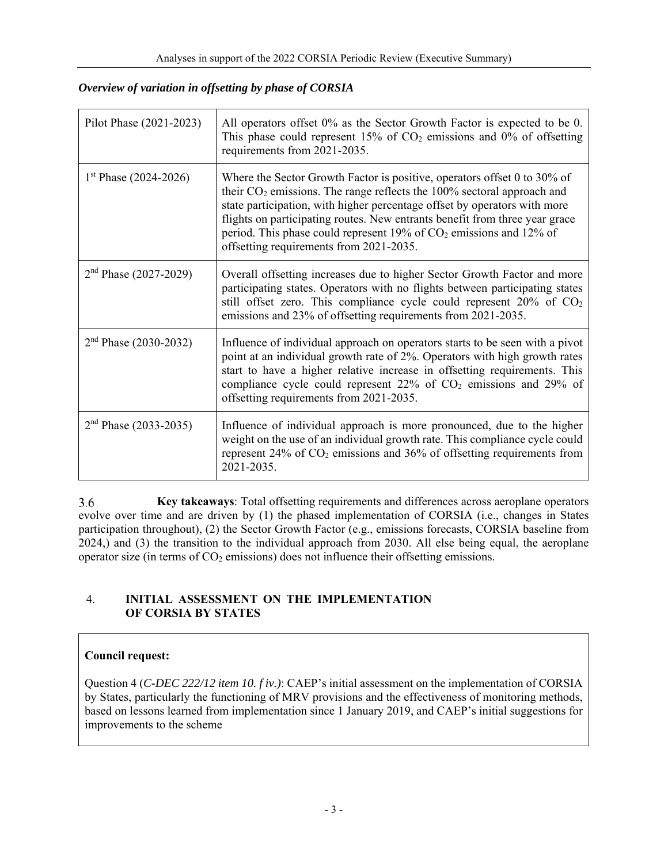# *Overview of variation in offsetting by phase of CORSIA*

| Pilot Phase (2021-2023) | All operators offset 0% as the Sector Growth Factor is expected to be 0.<br>This phase could represent 15% of $CO2$ emissions and 0% of offsetting<br>requirements from 2021-2035.                                                                                                                                                                                                                                                              |
|-------------------------|-------------------------------------------------------------------------------------------------------------------------------------------------------------------------------------------------------------------------------------------------------------------------------------------------------------------------------------------------------------------------------------------------------------------------------------------------|
| $1st$ Phase (2024-2026) | Where the Sector Growth Factor is positive, operators offset $0$ to 30% of<br>their $CO2$ emissions. The range reflects the 100% sectoral approach and<br>state participation, with higher percentage offset by operators with more<br>flights on participating routes. New entrants benefit from three year grace<br>period. This phase could represent 19% of CO <sub>2</sub> emissions and 12% of<br>offsetting requirements from 2021-2035. |
| $2nd Phase (2027-2029)$ | Overall offsetting increases due to higher Sector Growth Factor and more<br>participating states. Operators with no flights between participating states<br>still offset zero. This compliance cycle could represent $20\%$ of $CO2$<br>emissions and 23% of offsetting requirements from 2021-2035.                                                                                                                                            |
| $2nd$ Phase (2030-2032) | Influence of individual approach on operators starts to be seen with a pivot<br>point at an individual growth rate of 2%. Operators with high growth rates<br>start to have a higher relative increase in offsetting requirements. This<br>compliance cycle could represent $22\%$ of $CO2$ emissions and $29\%$ of<br>offsetting requirements from 2021-2035.                                                                                  |
| $2nd$ Phase (2033-2035) | Influence of individual approach is more pronounced, due to the higher<br>weight on the use of an individual growth rate. This compliance cycle could<br>represent $24\%$ of $CO2$ emissions and $36\%$ of offsetting requirements from<br>2021-2035.                                                                                                                                                                                           |

3.6 **Key takeaways**: Total offsetting requirements and differences across aeroplane operators evolve over time and are driven by (1) the phased implementation of CORSIA (i.e., changes in States participation throughout), (2) the Sector Growth Factor (e.g., emissions forecasts, CORSIA baseline from 2024,) and (3) the transition to the individual approach from 2030. All else being equal, the aeroplane operator size (in terms of  $CO<sub>2</sub>$  emissions) does not influence their offsetting emissions.

# 4. **INITIAL ASSESSMENT ON THE IMPLEMENTATION OF CORSIA BY STATES**

# **Council request:**

Question 4 (*C-DEC 222/12 item 10. f iv.)*: CAEP's initial assessment on the implementation of CORSIA by States, particularly the functioning of MRV provisions and the effectiveness of monitoring methods, based on lessons learned from implementation since 1 January 2019, and CAEP's initial suggestions for improvements to the scheme